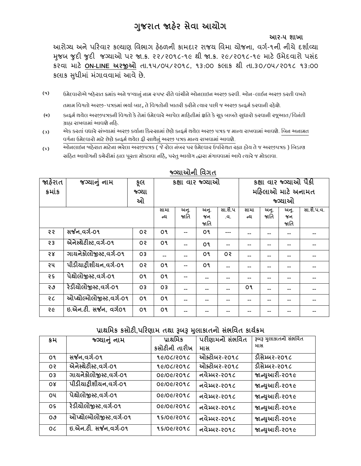# **ગજુ રાત જાહરે સેવા આયોગ**

 **આર-૫ શાખા** 

આરોગ્ય અનેપરરવાર કલ્યાણ વવભાગ હઠે ળની કામદાર રાજય વવમા યોજના, વગગ-૧ની નીચે દર્ાગવ્યા મજુ બ જુદી જુદી જગ્યાઓ પર જા.ક્ર. ૨૨/૨૦૧૮-૧૯ થી જા.ક્ર. ૨૯/૨૦૧૮-૧૯ માટેઉમેદવારો પસ ંદ કરવા માટે **ON-LINE અરજીઓ** તા.૧૫/૦૫/૨૦૧૮, ૧૩:૦૦ કલાક થી તા.૩૦/૦૫/૨૦૧૮ ૧૩:૦૦ કલાક સુધીમાં મંગાવવામાં આવે છે.

- **(૧)** ઉમેદવારોએ જાહેરાત ક્રમાંક અને જગ્યાનું નામ સ્પષ્ટ રીતે વાંચીને ઓનલાઇન અરજી કરવી. ઓન-લાઈન અરજી કરતી વખતે તમામ વિગતો અરજી-પત્રકમાં ભર્યા બાદ, તે વિગતોની ખાતરી કરીને ત્યાર પછી જ અરજી કન્ફર્મ કરવાની રહેશે.
- **(૨)** કન્ફર્મ થયેલ અરજીપત્રકની વિગતો કે તેમાં ઉમેદવારે આપેલ માહિતીમાં ક્ષતિ કે ચૂક બાબતે સુધારો કરવાની રજૂઆત/વિનંતી ગ્રાહ્ય રાખવામાં આવશે નહિ.
- **(૩)** એક કરતાં વધારે સંખ્યામાં અરજી કર્યાના કિસ્સામાં છેલ્લે કન્ફર્મ થયેલ અરજી પત્રક જ માન્ય રાખવામાં આવશે. બિન અનામત વર્ગના ઉમેદવારો માટે છેલ્લે કન્ફર્મ થયેલ ફી સાથેનું અરજી પત્રક માન્ય રાખવામાં આવશે.
- **(૪)** ઓનલાઇન જાહેરાત માટેના ભરેલા અરજીપત્રક ( જે રોલ નંબર પર ઉમેદવાર ઉપસ્થિત રહ્યા હોય તે જ અરજીપત્રક ) બિડાણ ચાંઠિત આયોગની કચેરીમાં હાલ પૂરતા મોકલવા નહિ, પરંતુ આયોગ દ્ધારા મંગાવવામાં આવે ત્યારે જ મોકલવા.

| જાહેરાત | જગ્યાનું નામ             | કૂલ            |      | કક્ષા વાર જ્ગ્યાઓ |      |                |                   |      | કક્ષા વાર જગ્યાઓ પૈકી |                   |
|---------|--------------------------|----------------|------|-------------------|------|----------------|-------------------|------|-----------------------|-------------------|
| કમાંક   |                          | જગ્યા          |      |                   |      |                | મહિલાઓ માટે અનામત |      |                       |                   |
|         |                          | ઓ              |      |                   |      |                |                   |      | જગ્યાઓ                |                   |
|         |                          |                | સામા | અનુ.              | અનુ. | સા.શૈ.પ        | સામા              | અન.  | અન.                   | <u>સા.શૈ.પ.વ.</u> |
|         |                          |                | ન્ય  | જાતિ              | જન   | .વ.            | ન્ય               | જાતિ | જન                    |                   |
|         |                          |                |      |                   | જાતિ |                |                   |      | જાતિ                  |                   |
| ર ર     | સર્જન,વર્ગ-૦૧            | 0 S            | О۹   |                   | О۹   | ---            | --                | --   |                       |                   |
| 53      | એનેસ્થેટીસ્ટ,વર્ગ-0૧     | O <sub>5</sub> | o٩   |                   | o٩   |                |                   |      |                       |                   |
| 58      | ગાયનેકોલોજીસ્ટ,વર્ગ-૦૧   | 03             | --   |                   | О۹   | O <sub>5</sub> |                   | --   |                       |                   |
| ૨૫      | પીડીયાટ્રીશીયન,વર્ગ-૦૧   | O <sub>5</sub> | o٩   |                   | О۹   |                |                   | --   |                       |                   |
| २५      | પેશ્રોલોજીસ્ટ,વર્ગ-૦૧    | o٩             | О۹   |                   | --   | --             | --                | --   | --                    |                   |
| ২৩      | रेडीयोलोकुस्ट,वर्ग-0१    | 03             | 03   |                   | --   |                | О۹                | --   | --                    |                   |
| २८      | ઓપ્શોલ્મોલોજીસ્ટ,વર્ગ-0૧ | o٩             | о۹   |                   | --   |                | --                | --   | --                    |                   |
| २૯      | ઇ.એન.ટી. સર્જન, વર્ગ0૧   | o٩             | о۹   |                   |      |                |                   |      |                       |                   |

# **જ્ગ્યાઓની વવગત**

# **પ્રાથવમક કસોટી,પહરણામ તથા રૂબરૂ મલુ ાકાતનો સભાં વવત કાયગક્રમ**

| ક્રમ           | જગ્યાનું નામ                          | પ્રાથમિક      | પરીણામનો સંભવિત | <u>રૂબરૂ મુલાકાતનો સંભવિત</u> |
|----------------|---------------------------------------|---------------|-----------------|-------------------------------|
|                |                                       | કસોટીની તારીખ | માસ             | માસ                           |
| o٩             | સર્જન,વર્ગ-૦૧                         | 96/06/2096    | योन्टोબर-२०१८   | ડીસેમ્બર-૨૦૧૮                 |
| O <sub>5</sub> | એનેસ્થેટીસ્ટ,વર્ગ-૦૧                  | 9610612096    | योन्टोजर-२०१८   | ડીસેમ્બર-૨૦૧૮                 |
| O <sub>3</sub> | गायने डोलो छस्ट, वर्ग-0१              | 06/06/2096    | નવેમ્બર-૨૦૧૮    | જાન્યુઆરી-૨૦૧૯                |
| $\alpha$       | गीडीयाट्टीशीयन,वर्ग-0१                | 06/06/3096    | નવેમ્બર-૨૦૧૮    | જાન્યુઆરી-૨૦૧૯                |
| <b>O4</b>      | पेशेलो अस्ट,वर्ग-०१                   | 06/06/3096    | નવેમ્બર-૨૦૧૮    | જાન્યુઆરી-૨૦૧૯                |
| 0S             | રેડીયોલોજીસ્ટ,વર્ગ-૦૧                 | 06/06/3096    | નવેમ્બર-૨૦૧૮    | જાન્યુઆરી-૨૦૧૯                |
| ია             | योप्थोल्मोलोकुस्ट,वर्ग-0१             | 95/06/209C    | નવેમ્બર-૨૦૧૮    | જાન્યુઆરી-૨૦૧૯                |
| 0C             | $\overline{6.24}$ ન.ટી. સર્જન,વર્ગ-0૧ | 95/06/2096    | નવેમ્બર-૨૦૧૮    | જાન્યુઆરી-૨૦૧૯                |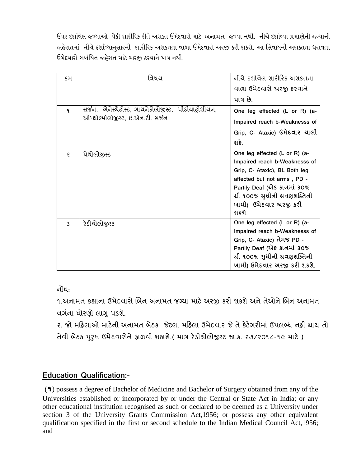ઉપર દર્શાવેલ જગ્યશઓ પૈકી ર્શરીરરક રીતેઅર્ક્ત ઉમેદવશરો મશટે અનામત જગ્યશ નથી. નીચે દર્શાવ્યશ પ્રમશણેની જ્ગગ્યશની જાહેરાતમાં નીચે દર્શાવ્યાનસારની શારીરિક અશકતતા વાળા ઉમેદવારો અરજી કરી શકશે. આ સિવાયની અશક્તતા ધરાવતા ઉમેદવશરો સાંબાંસધત જાહેરશત મશટેઅરજી કરવશનેપશત્ર નથી.

| ક્રમ | વિષય                                                 | નીચે દર્શાવેલ શારીરિક અશકતતા  |
|------|------------------------------------------------------|-------------------------------|
|      |                                                      | વાળા ઉમેદવારો અરજી કરવાને     |
|      |                                                      | પાત્ર છે.                     |
| ٩    | સર્જન, એનેસ્થેટીસ્ટ, ગાયનેકોલોજીસ્ટ, પીડીયાટ્રીશીયન, | One leg effected (L or R) (a- |
|      | ઓપ્થોલ્મોલોજીસ્ટ, ઇ.એન.ટી. સર્જન                     | Impaired reach b-Weaknesss of |
|      |                                                      | Grip, C- Ataxic) ઉમેદવાર ચાલી |
|      |                                                      | શકે.                          |
| ę    | પેશ્ચોલોજીસ્ટ                                        | One leg effected (L or R) (a- |
|      |                                                      | Impaired reach b-Weaknesss of |
|      |                                                      | Grip, C- Ataxic), BL Both leg |
|      |                                                      | affected but not arms, PD -   |
|      |                                                      | Partily Deaf (એક કાનમાં 30%   |
|      |                                                      | થી ૧૦૦% સુધીની શ્રવણશક્તિની   |
|      |                                                      | ખામી) ઉમેદવાર અરજી કરી        |
|      |                                                      | શકશે.                         |
| 3    | રેડીચોલોજીસ્ટ                                        | One leg effected (L or R) (a- |
|      |                                                      | Impaired reach b-Weaknesss of |
|      |                                                      | Grip, C- Ataxic) તેમજ PD -    |
|      |                                                      | Partily Deaf (એક કાનમાં 30%   |
|      |                                                      | થી ૧૦૦% સુધીની શ્રવણશક્તિની   |
|      |                                                      | ખામી) ઉમેદવાર અરજી કરી શકશે.  |

નોંધ:

૧.અનામત કક્ષાના ઉમેદવારો બિન અનામત જગ્યા માટે અરજી કરી શકશે અને તેઓને બિન અનામત વર્ગના ધોરણો લાગુ પડશે.

૨. જો મરહલાઓ માટેની અનામત બેઠક જેટલા મરહલા ઉમેદવાર જે તેકેટેગરીમાં ઉપલબ્ધ નહીં થાય તો તેવી બેઠક પરુુષ ઉમેદવારોનેફાળવી ર્કાર્ે.( માત્ર રેડીયોલોજીસ્ટ જા.ક્ર. ૨૭/૨૦૧૮-૧૯ માટે )

# **Education Qualification:-**

(**૧**) possess a degree of Bachelor of Medicine and Bachelor of Surgery obtained from any of the Universities established or incorporated by or under the Central or State Act in India; or any other educational institution recognised as such or declared to be deemed as a University under section 3 of the University Grants Commission Act,1956; or possess any other equivalent qualification specified in the first or second schedule to the Indian Medical Council Act,1956; and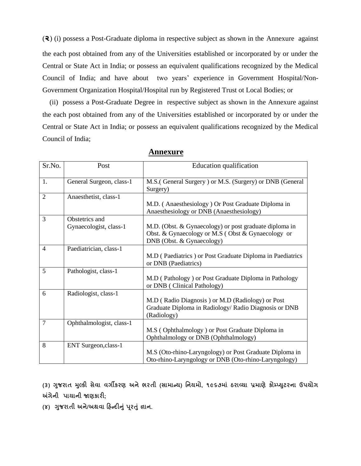(**૨**) (i) possess a Post-Graduate diploma in respective subject as shown in the Annexure against the each post obtained from any of the Universities established or incorporated by or under the Central or State Act in India; or possess an equivalent qualifications recognized by the Medical Council of India; and have about two years' experience in Government Hospital/Non-Government Organization Hospital/Hospital run by Registered Trust ot Local Bodies; or

 (ii) possess a Post-Graduate Degree in respective subject as shown in the Annexure against the each post obtained from any of the Universities established or incorporated by or under the Central or State Act in India; or possess an equivalent qualifications recognized by the Medical Council of India;

| Sr.No.         | Post                                     | Education qualification                                                                                                                  |
|----------------|------------------------------------------|------------------------------------------------------------------------------------------------------------------------------------------|
| 1.             | General Surgeon, class-1                 | M.S. (General Surgery) or M.S. (Surgery) or DNB (General<br>Surgery)                                                                     |
| $\overline{2}$ | Anaesthetist, class-1                    | M.D. (Anaesthesiology) Or Post Graduate Diploma in<br>Anaesthesiology or DNB (Anaesthesiology)                                           |
| 3              | Obstetrics and<br>Gynaecologist, class-1 | M.D. (Obst. & Gynaecology) or post graduate diploma in<br>Obst. & Gynaecology or M.S (Obst & Gynaecology or<br>DNB (Obst. & Gynaecology) |
| 4              | Paediatrician, class-1                   | M.D (Paediatrics) or Post Graduate Diploma in Paediatrics<br>or DNB (Paediatrics)                                                        |
| 5              | Pathologist, class-1                     | M.D (Pathology) or Post Graduate Diploma in Pathology<br>or DNB (Clinical Pathology)                                                     |
| 6              | Radiologist, class-1                     | M.D (Radio Diagnosis) or M.D (Radiology) or Post<br>Graduate Diploma in Radiology/ Radio Diagnosis or DNB<br>(Radiology)                 |
| $\overline{7}$ | Ophthalmologist, class-1                 | M.S (Ophthalmology) or Post Graduate Diploma in<br>Ophthalmology or DNB (Ophthalmology)                                                  |
| 8              | ENT Surgeon, class-1                     | M.S (Oto-rhino-Laryngology) or Post Graduate Diploma in<br>Oto-rhino-Laryngology or DNB (Oto-rhino-Laryngology)                          |

**Annexure**

**(૩) ગજુ રાત મલ્ુકી સેવા વગીકરણ અનેભરતી (સામાન્ય) વનયમો, ૧૯૬૭માાં ઠરાવ્યા પ્રમાણેકોમ્પ્યટુરના ઉપયોગ અંગેની પાયાની જાણકારી;**

**(૪) ગજુ રાતી અને/અથવા હહન્દીનાંુપરૂતાંુજ્ઞાન.**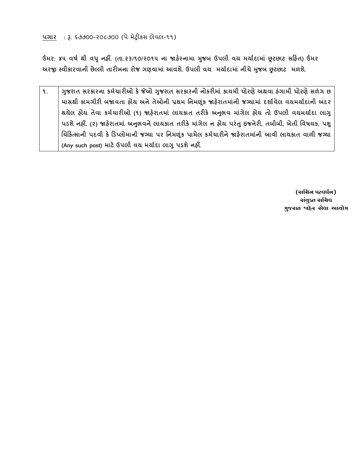**ઉંમર: ૪૫ વર્ગ થી વધુનહીં. (તા.૨૩/૧૦/૨૦૧૫ ના જાહરે નામા મજુ બ ઉપલી વય મયાગદામાાં છૂટછાટ સહહત) ઉંમર અરજી સ્વીકારવાની છેલ્લી તારીખના રોજ ગણવામાાં આવશે. ઉપલી વય મયાગદામાાં નીચેમજુ બ છુટછાટ મળશે.**

**૧. ગજુ રાત સરકારના કમગચારીઓ કેજેઓ ગજુ રાત સરકારની નોકરીમાાં કાયમી ધોરણેઅથવા હાંગામી ધોરણેસળાંગ છ માસથી કામગીરી બજાવતા હોય અનેતેઓની પ્રથમ વનમણકાંૂ જાહરે ાતમાાંની જ્યામાાં દશાગવેલ વયમયાગદાની અંદર થયેલ હોય તેવા કમગચારીઓ (૧) જાહરે ાતમાાં લાયકાત તરીકે અનભુ વ માગાં ેલ હોય તો ઉપલી વયમયાગદા લાગુ પડશેનહીં. (૨) જાહરે ાતમાાં અનભુ વનેલાયકાત તરીકે માગાં ેલ ન હોય પરાંતુઇજનેરી, તબીબી, ખેતી વવર્યક, પશુ ચચહકત્સાની પદવી કે હડપ્લોમાની જ્યા પર વનમણકાંૂ પામેલ કમગચારીનેજાહરે ાતમાનાં ી આવી લાયકાત વાળી જ્યા (Any such post) માટેઉપલી વય મયાગદા લાગુપડશેનહીં.**

> **(સચિન પટવર્ધન) સંયુક્ત સચિવ ગુજરાત જાહેર સેવા આયોગ**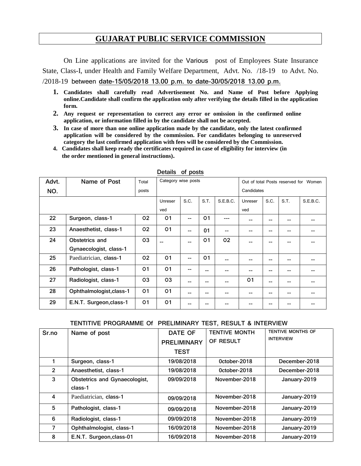# **GUJARAT PUBLIC SERVICE COMMISSION**

On Line applications are invited for the Various post of Employees State Insurance State, Class-I, under Health and Family Welfare Department, Advt. No. /18-19 to Advt. No. /2018-19 between **date-15/05/2018 13.00 p.m. to date-30/05/2018 13.00 p.m.**

- **1. Candidates shall carefully read Advertisement No. and Name of Post before Applying online.Candidate shall confirm the application only after verifying the details filled in the application form.**
- **2. Any request or representation to correct any error or omission in the confirmed online application, or information filled in by the candidate shall not be accepted.**
- **3. In case of more than one online application made by the candidate, only the latest confirmed application will be considered by the commission. For candidates belonging to unreserved category the last confirmed application with fees will be considered by the Commission.**
- **4. Candidates shall keep ready the certificates required in case of eligibility for interview (in the order mentioned in general instructions).**

| Advt. | Name of Post             | Total          | Category wise posts |      |                | Out of total Posts reserved for Women |                |      |      |          |
|-------|--------------------------|----------------|---------------------|------|----------------|---------------------------------------|----------------|------|------|----------|
| NO.   |                          | posts          |                     |      |                |                                       | Candidates     |      |      |          |
|       |                          |                | Unreser             | S.C. | S.T.           | S.E.B.C.                              | Unreser        | S.C. | S.T. | S.E.B.C. |
|       |                          |                | ved                 |      |                |                                       | ved            |      |      |          |
| 22    | Surgeon, class-1         | 02             | O <sub>1</sub>      | --   | 01             | ---                                   |                | --   |      |          |
| 23    | Anaesthetist, class-1    | 02             | O <sub>1</sub>      | --   | 01             | --                                    | --             | --   | --   |          |
| 24    | Obstetrics and           | 03             |                     | $-$  | O <sub>1</sub> | 02                                    |                | --   |      |          |
|       | Gynaecologist, class-1   |                |                     |      |                |                                       |                |      |      |          |
| 25    | Paediatrician, class-1   | 02             | O <sub>1</sub>      | --   | 01             | --                                    | --             | --   | --   |          |
| 26    | Pathologist, class-1     | O <sub>1</sub> | O <sub>1</sub>      | --   | --             | --                                    | --             | --   | --   |          |
| 27    | Radiologist, class-1     | 03             | 03                  |      | --             | --                                    | O <sub>1</sub> | --   |      |          |
| 28    | Ophthalmologist, class-1 | O <sub>1</sub> | O <sub>1</sub>      |      | --             |                                       |                | --   |      |          |
| 29    | E.N.T. Surgeon, class-1  | O <sub>1</sub> | O <sub>1</sub>      |      |                |                                       |                | --   |      |          |

#### **Details of posts**

#### **TENTITIVE PROGRAMME Of PRELIMINARY TEST, RESULT & INTERVIEW**

| Sr.no          | Name of post                  | <b>DATE OF</b> | <b>TENTIVE MONTH</b> | <b>TENTIVE MONTHS OF</b> |  |
|----------------|-------------------------------|----------------|----------------------|--------------------------|--|
|                |                               | PRELIMINARY    | OF RESULT            | <b>INTERVIEW</b>         |  |
|                |                               | <b>TEST</b>    |                      |                          |  |
|                | Surgeon, class-1              | 19/08/2018     | October-2018         | December-2018            |  |
| $\overline{2}$ | Anaesthetist, class-1         | 19/08/2018     | October-2018         | December-2018            |  |
| 3              | Obstetrics and Gynaecologist, | 09/09/2018     | November-2018        | January-2019             |  |
|                | class-1                       |                |                      |                          |  |
| 4              | Paediatrician, class-1        | 09/09/2018     | November-2018        | January-2019             |  |
| 5              | Pathologist, class-1          | 09/09/2018     | November-2018        | January-2019             |  |
| 6              | Radiologist, class-1          | 09/09/2018     | November-2018        | January-2019             |  |
| 7              | Ophthalmologist, class-1      | 16/09/2018     | November-2018        | January-2019             |  |
| 8              | E.N.T. Surgeon, class-01      | 16/09/2018     | November-2018        | January-2019             |  |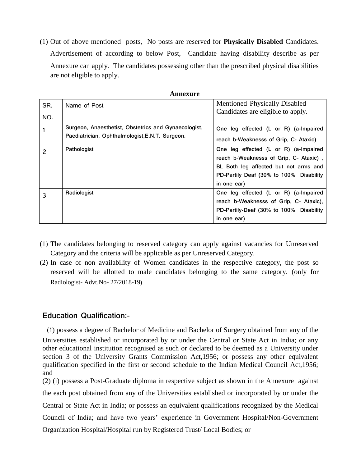(1) Out of above mentioned posts, No posts are reserved for **Physically Disabled** Candidates. Advertisement of according to below Post, Candidate having disability describe as per Annexure can apply. The candidates possessing other than the prescribed physical disabilities are not eligible to apply.

| SR.<br>NO. | Name of Post                                                                                            | Mentioned Physically Disabled<br>Candidates are eligible to apply. |
|------------|---------------------------------------------------------------------------------------------------------|--------------------------------------------------------------------|
|            | Surgeon, Anaesthetist, Obstetrics and Gynaecologist,<br>Paediatrician, Ophthalmologist, E.N.T. Surgeon. | One leg effected (L or R) (a-Impaired                              |
|            |                                                                                                         | reach b-Weaknesss of Grip, C- Ataxic)                              |
| 2          | Pathologist                                                                                             | One leg effected (L or R) (a-Impaired                              |
|            |                                                                                                         | reach b-Weaknesss of Grip, C- Ataxic),                             |
|            |                                                                                                         | BL Both leg affected but not arms and                              |
|            |                                                                                                         | PD-Partily Deaf (30% to 100% Disability                            |
|            |                                                                                                         | in one ear)                                                        |
| 3          | Radiologist                                                                                             | One leg effected (L or R) (a-Impaired                              |
|            |                                                                                                         | reach b-Weaknesss of Grip, C- Ataxic),                             |
|            |                                                                                                         | PD-Partily-Deaf (30% to 100% Disability                            |
|            |                                                                                                         | in one ear)                                                        |

**Annexure**

- (1) The candidates belonging to reserved category can apply against vacancies for Unreserved Category and the criteria will be applicable as per Unreserved Category.
- (2) In case of non availability of Women candidates in the respective category, the post so reserved will be allotted to male candidates belonging to the same category. (only for Radiologist- Advt.No- 27/2018-19**)**

# **Education Qualification:-**

(1) possess a degree of Bachelor of Medicine and Bachelor of Surgery obtained from any of the Universities established or incorporated by or under the Central or State Act in India; or any other educational institution recognised as such or declared to be deemed as a University under section 3 of the University Grants Commission Act,1956; or possess any other equivalent qualification specified in the first or second schedule to the Indian Medical Council Act,1956; and

(2) (i) possess a Post-Graduate diploma in respective subject as shown in the Annexure against the each post obtained from any of the Universities established or incorporated by or under the Central or State Act in India; or possess an equivalent qualifications recognized by the Medical Council of India; and have two years' experience in Government Hospital/Non-Government Organization Hospital/Hospital run by Registered Trust/ Local Bodies; or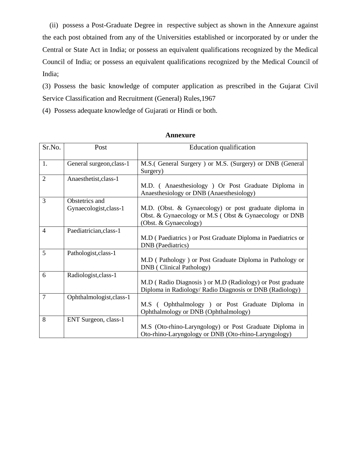(ii) possess a Post-Graduate Degree in respective subject as shown in the Annexure against the each post obtained from any of the Universities established or incorporated by or under the Central or State Act in India; or possess an equivalent qualifications recognized by the Medical Council of India; or possess an equivalent qualifications recognized by the Medical Council of India;

(3) Possess the basic knowledge of computer application as prescribed in the Gujarat Civil Service Classification and Recruitment (General) Rules,1967

(4) Possess adequate knowledge of Gujarati or Hindi or both.

| Sr.No.         | Post                                     | <b>Education</b> qualification                                                                                                           |
|----------------|------------------------------------------|------------------------------------------------------------------------------------------------------------------------------------------|
| 1.             | General surgeon, class-1                 | M.S. (General Surgery) or M.S. (Surgery) or DNB (General<br>Surgery)                                                                     |
| $\overline{2}$ | Anaesthetist, class-1                    | M.D. (Anaesthesiology) Or Post Graduate Diploma in<br>Anaesthesiology or DNB (Anaesthesiology)                                           |
| 3              | Obstetrics and<br>Gynaecologist, class-1 | M.D. (Obst. & Gynaecology) or post graduate diploma in<br>Obst. & Gynaecology or M.S (Obst & Gynaecology or DNB<br>(Obst. & Gynaecology) |
| 4              | Paediatrician, class-1                   | M.D (Paediatrics) or Post Graduate Diploma in Paediatrics or<br><b>DNB</b> (Paediatrics)                                                 |
| 5              | Pathologist, class-1                     | M.D (Pathology) or Post Graduate Diploma in Pathology or<br>DNB (Clinical Pathology)                                                     |
| 6              | Radiologist, class-1                     | M.D (Radio Diagnosis) or M.D (Radiology) or Post graduate<br>Diploma in Radiology/ Radio Diagnosis or DNB (Radiology)                    |
| $\overline{7}$ | Ophthalmologist, class-1                 | M.S (Ophthalmology) or Post Graduate Diploma in<br>Ophthalmology or DNB (Ophthalmology)                                                  |
| 8              | ENT Surgeon, class-1                     | M.S (Oto-rhino-Laryngology) or Post Graduate Diploma in<br>Oto-rhino-Laryngology or DNB (Oto-rhino-Laryngology)                          |

**Annexure**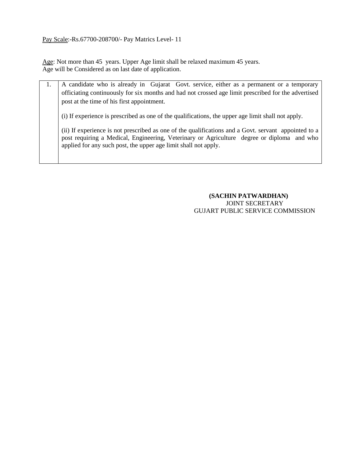Pay Scale:-Rs.67700-208700/- Pay Matrics Level- 11

Age: Not more than 45 years. Upper Age limit shall be relaxed maximum 45 years. Age will be Considered as on last date of application.

| A candidate who is already in Gujarat Govt. service, either as a permanent or a temporary                                                                                                                                                                             |
|-----------------------------------------------------------------------------------------------------------------------------------------------------------------------------------------------------------------------------------------------------------------------|
| officiating continuously for six months and had not crossed age limit prescribed for the advertised                                                                                                                                                                   |
| post at the time of his first appointment.                                                                                                                                                                                                                            |
| (i) If experience is prescribed as one of the qualifications, the upper age limit shall not apply.                                                                                                                                                                    |
| (ii) If experience is not prescribed as one of the qualifications and a Govt. servant appointed to a<br>post requiring a Medical, Engineering, Veterinary or Agriculture degree or diploma and who<br>applied for any such post, the upper age limit shall not apply. |
|                                                                                                                                                                                                                                                                       |

### **(SACHIN PATWARDHAN)** JOINT SECRETARY GUJART PUBLIC SERVICE COMMISSION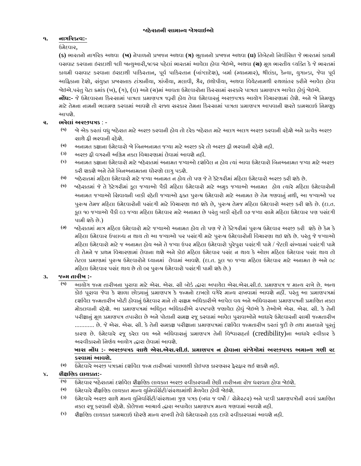# **૧. નાગરરકત્વ:-**

## ઉમેદવાર,

**(ક)** ભારતનો નાગરરક અથવા **(ખ)** નેપાળનો પ્રજાજન અથવા **(ગ)** ભૂતાનનો પ્રજાજન અથવા **(ઘ)** તતબેટનો તનવાાતિત જેભારતમાાં કાયમી વિવાટ કરવાના ઇરાદાથી ૧લી જાન્યુઆરી,૧૯૬૨ પહેલાાં ભારતમાાં આવેલા હોવા જોઇએ, અથવા **(ચ)** મૂળ ભારતીય વ્યતતત કેજેભારતમાાં કાયમી વસવાટ કરવાના ઇરાદાથી પાકિસ્તાન, પૂર્વ પાકિસ્તાન (બાંગ્લાદેશ), બર્મા (મ્યાનમાર), શ્રીલંકા, કેન્યા, યુગાન્ડા, જેવા પૂર્વ આફ્રિકાના દેશો, સંચુક્ત પ્રજાસત્તાક ટાંઝાનીયા, ઝાંબીયા, મલાવી, ઝૈર, ઇથોપીયા, અથવા વિચેટનામથી સ્થળાંતર કરીને આવેલ હોવા જોઇએ.પરંતુ પેટા ક્રમાંક (ખ), (ગ), (ઘ) અને (ચ)માં આવતા ઉમેદવારોના કિસ્સામાં સરકારે પાત્રતા પ્રમાણપત્ર આપેલ હોવું જોઇએ.

**<b>નોંધ:-** જે ઉમેદવારના કિસ્સામાં પાત્રતા પ્રમાણપત્ર જરૂરી હોય તેવા ઉમેદવારનું અરજીપત્રક આયોગ વિચારણામાં લેશે. અને બે નિમણૂક માટે તેમના નામની ભલામણ કરવામાં આવશે તો રાજ્ય સરકાર તેમના કિસ્સામાં પાત્રતા પ્રમાણપત્ર આપવાની શરતે કામચલાઉ નિમણૂક આપશે.

## **૨. ભરેલાાંઅરજીપત્રક** : -

- **(૧)** જો એક કરતાાં વધુજાહેરાત માટેઅરજી કરવાની હોય તો દરેક જાહેરાત માટેઅલગ અલગ અરજી કરવાની રહેશેઅનેપ્રત્યેક અરજી િાથેફી ભરવાની રહેશે.
- **(૨)** અનામત કક્ષાના ઉમેદવારો જો તબનઅનામત જગ્યા માટેઅરજી કરેતો અરજી ફી ભરવાની રહેશેનહી.
- **(૩)** અરજી ફી વગરની અતિમ નકલ તવચારણામાાં લેવામાાંઆવશેનહી.
- **(૪)** અનામત કક્ષાના ઉમેદવારો માટેજાહેરાતમાાંઅનામત જગ્યાઓ દશાાવેલ ન હોય ત્યાાંઆવા ઉમેદવારો તબનઅનામત જગ્યા માટેઅરજી કરી શકશે અને તેને બિનઅનામતના ધોરણો લાગુ પડશે.
- **(૫)** જાહેરાતમાાં મરહલા ઉમેદવારો માટેજગ્યા અનામત ન હોય તો પણ જેતેકેટેગરીમાાં મરહલા ઉમેદવારો અરજી કરી શકેછે.
- **(૬)** જાહેરાતમાાં જેતેકેટેગરીમાાં કૂલ જગ્યાઓ પૈકી મરહલા ઉમેદવારો માટેઅમુક જગ્યાઓ અનામત હોય ત્યારેમરહલા ઉમેદવારોની અનામત જગ્યાઓ તિવાયની બાકી રહેતી જગ્યાઓ ફતત પુરુષ ઉમેદવારો માટેઅનામત છેતેમ ગણવાનુાં નથી, આ જગ્યાઓ પર પુરુષ તેમજ મહિલા ઉમેદવારોની પસંદગી માટે વિચારણા થઇ શકે છે, પુરુષ તેમજ મહિલા ઉમેદવારો અરજી કરી શકે છે. (દા.ત. કૂલ ૧૦ જગ્યાઓ પૈકી ૦૩ જગ્યા મઠિલા ઉમેદવાર માટે અનામત છે પરંતુ બાકી રહેતી ૦૭ જગ્યા સામે મઠિલા ઉમેદવાર પણ પસંદગી પામી શકેછે.)
- **(૭)** જાહેરાતમાાં માત્ર મરહલા ઉમેદવારો માટેજગ્યાઓ અનામત હોય તો પણ જેતેકેટેગરીમાાં પુરુષ ઉમેદવાર અરજી કરી શકેછેકેમ કે મહિલા ઉમેદવાર ઉપલબ્ધ ન થાય તો આ જગ્યાઓ પર પસંદગી માટે પુરુષ ઉમેદવારોની વિચારણા થઇ શકે છે. પરંતુ જે જગ્યાઓ મહિલા ઉમેદવારો માટે જ અનામત હોય અને તે જગ્યા ઉપર મહિલા ઉમેદવારો પુરેપુરા પસંદગી પામે / જેટલી સંખ્યામાં પસંદગી પામે તો તેમને જ પ્રથમ વિચારણામાં લેવાના થશે અને કોઇ મહિલા ઉમેદવાર પસંદ ન થાય કે ઓછા મહિલા ઉમેદવાર પસંદ થાય તો તેટલા પ્રમાણમાં પુરુષ ઉમેદવારોને ધ્યાનમાં લેવામાં આવશે. (દા.ત. કૂલ ૧૦ જગ્યા મહિલા ઉમેદવાર માટે અનામત છે અને ૦૮ મહિલા ઉમેદવાર પસંદ થાય છે તો ૦૨ પુરુષ ઉમેદવારો પસંદગી પામી શકે છે.)

# **૩. જન્મ તારીખ :-**

**(૧)** આયોગ જન્મ તારીખના પુરાવા માટેએિ. એિ. િી બોડા દ્વારા અપાયેલ એિ.એિ.િી.ઇ. પ્રમાણપત્ર જ માન્ય રાખેછે. અન્ય કોઇ પૂરાવા જેવા કે શાળા છોડ્યાનું પ્રમાણપત્ર કે જન્મનો દાખલો વગેરે માન્ય રાખવામાં આવશે નહીં. પરંતુ આ પ્રમાણપત્રમાં દર્શાવેલ જન્મતારીખ ખોટી હોવાનું ઉમેદવાર માને તો ચક્ષમ અધિકારીએ આપેલ વય અને અધિવાસના પ્રમાણપત્રની પ્રમાણિત નકલ મોકલવાની રહેશે. આ પ્રમાણપત્રમાં અધિકૃત અધિકારીએ સ્પષ્ટપણે જણાવેલ હોવું જોઇએ કે તેઓએ એસ. એસ. સી. કે તેની પરીક્ષાનું મૂળ પ્રમાણપત્ર તપાસેલ છે અને પોતાની સમક્ષ રજૂ કરવામાં આવેલ પુરાવાઓને આધારે ઉમેદવારની સાચી જન્મતારીખ ............ છે. જે એસ. એસ. સી. કે તેની સમકક્ષ પરીક્ષાના પ્રમાણપત્રમાં દર્શાવેલ જન્મતારીખ કરતાં જુદી છે તથા માનવાને પૂરતું કારણ છે. ઉમેદવારે રજૂ કરેલ વય અનેઅતધવાિનુાં પ્રમાણપત્ર તેની તવશ્વાિહતાા (credibility)ના આધારે સ્વીકાર કે અસ્વીકારનો નિર્ણય આયોગ દ્ધારા લેવામાં આવશે.

## ખાસ નોંધ :- અરજીપત્રક સાથે એસ.એસ.સી.ઇ. પ્રમાણપત્ર ન હોવાના સંજોગોમાં અરજીપત્રક અમાન્ય ગણી રદ **કરવામાાંઆવશે.**

**(૨)** ઉમેદવારેઅરજી પત્રકમાાંદશાાવેલ જન્મ તારીખમાાં પાછળથી કોઇપણ કારણિર ફેરફાર થઈ શકશેનહી.

# **૪. શૈક્ષણણક લાયકાત:**-

- **(૧)** ઉમેદવાર જાહેરાતમાાંદશાાવેલ શૈક્ષતણક લાયકાત અરજી સ્વીકારવાની છેલ્લી તારીખના રોજ ધરાવતા હોવા જોઇશે.
- **(૨)** ઉમેદવારેશૈક્ષતણક લાયકાત માન્ય યુતનવતિાટી/િાંસ્થામાાંથી મેળવેલ હોવી જોઇશે.
- **(૩)** ઉમેદવારેઅરજી િાથેમાન્ય યુતનવતિાટી/િાંસ્થાના ગુણ પત્રક (બધા જ વષો / િેમેસ્ટર) અનેપદવી પ્રમાણપત્રોની સ્વયાં પ્રમાતણત નકલ રજૂ કરવાની રહેશે. કોલેજના આચાર્ય દ્ધારા અપાયેલ પ્રમાણપત્ર માન્ય ગણવામાં આવશે નહી.
- **(૪)** શૈક્ષતણક લાયકાત કામચલાઉ ધોરણેમાન્ય રાખવી તેવો ઉમેદવારનો હક્ક દાવો સ્વીકારવામાાંઆવશેનહી.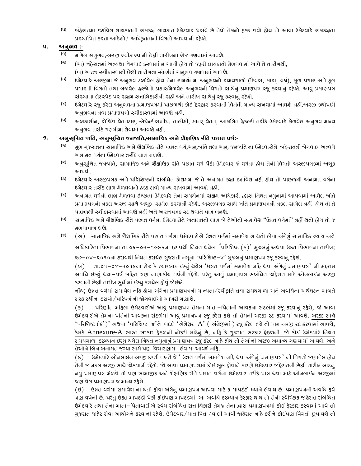**(૫)** જાહેરાતમાાં દશાાવેલ લાયકાતની િમકક્ષ લાયકાત ઉમેદવાર ધરાવેછેતેવો તેમનો હક્ક દાવો હોય તો આવા ઉમેદવારેિમકક્ષતા પ્રસ્થાતપત કરતા આદેશો / અતધકૃતતાની તવગતો આપવાની રહેશે.

### **૫. અનુભવ :-**

- **(૧)** માાંગેલ અનુભવ,અરજી સ્વીકારવાની છેલ્લી તારીખના રોજ ગણવામાાંઆવશે.
- **(૨)** (અ) જાહેરાતમાં અન્યથા જેગવાઇ કરવામાં ન આવી હોય તો જરૂરી લાયકાતો મેળવવામાં આવે તે તારીખથી, (બ) અરજી સ્વીકારવાની છેલ્લી તારીખના સંદર્ભમાં અનુભવ ગણવામાં આવશે.
- <sup>(3)</sup> ઉમેદવારે અરજીમાં જે અનુભવ દર્શાવેલ હોય તેના સમર્થનમાં અનુભવનો સમયગાળો (દિવસ, માસ, વર્ષ), મૂળ પગાર અને કૂલ પગારની તવગતો તથા બજાવેલ ફરજોનો પ્રકાર/મેળવેલ અનુભવની તવગતો િાથેનુાં પ્રમાણપત્ર રજૂકરવાનુાં રહેશે. આવુાં પ્રમાણપત્ર ચાંસ્થાના લેટરપેડ પર ચક્ષમ ચત્તાધિકારીની સહી અને તારીખ સાથેનું રજૂ કરવાનું રહેશે.
- **(૪)** ઉમેદવારેરજૂકરેલ અનુભવના પ્રમાણપત્રમાાં પાછળથી કોઇ ફેરફાર કરવાની તવનાંતી માન્ય રાખવામાાં આવશેનહીં.અરજી કયાાપછી અનુભવના નવા પ્રમાણપત્રો સ્વીકારવામાં આવશે નહી.
- **(૫)** અાંશકાલીન, રોતજદાં ા વેતનદાર, એપ્રેન્ટીિશીપ, તાલીમી, માનદ્ વેતન, આમાંતત્રત ફૅકલ્ટી તરીકેઉમેદવારેમેળવેલ અનુભવ માન્ય અનુભવ તરીકેગણત્રીમાાંલેવામાાંઆવશેનહીં.

#### **૬. અનુસૂણચત જાણત, અનુસૂણચત જનજાણત,સામાણજક અનેશૈક્ષણણક રીતેપછાત વગગ:**-

- **(૧)** મૂળ ગુજરાતના િામાતજક અનેશૈક્ષતણક રીતેપછાત વગા,અનુ.જાતત તથા અનુ. જનજાતત ના ઉમેદવારોનેજાહેરાતની જોગવાઇ અન્વયે અનામત વગાના ઉમેદવાર તરીકેલાભ મળશે.
- **(૨)** અનુિૂતચત જનજાતત, િામાતજક અનેશૈક્ષતણક રીતેપછાત વગા પૈકી ઉમેદવાર જેવગાના હોય તેની તવગતો અરજીપત્રકમાાં અચૂક આપવી.
- **(૩)** ઉમેદવારેઅરજીપત્રક અનેપરરતશષ્ટની િાંબાંતધત કોલમમાાં જેતેઅનામત કક્ષા દશાાવેલ નહીં હોય તો પાછળથી અનામત વગાના ઉમેદવાર તરીકે લાભ મેળવવાનો ઠક્ક દાવો માન્ય રાખવામાં આવશે નહીં.
- **(૪)** અનામત વગાનો લાભ મેળવવા ઇચ્છતા ઉમેદવારેતેના િમથાનમાાં િક્ષમ અતધકારી દ્વારા તનયત નમુનામાાં આપવામાાં આવેલ જાતત પ્રમાણપત્રની નકલ અરજી સાથે અચૂક સામેલ કરવાની રહેશે. અરજીપત્રક સાથે જાતિ પ્રમાણપત્રની નકલ સામેલ નહીં હોય તો તે પાછળથી સ્વીકારવામાં આવશે નહીં અને અરજીપત્રક રદ થવાને પાત્ર બનશે.
- **(૫)** િામાતજક અનેશૈક્ષતણક રીતેપછાત વગાના ઉમેદવારોનેઅનામતનો લાભ જો તેઓનો િમાવેશ "ઉન્નત વગામાાં" નહીં થતો હોય તો જ મળવાપાત્ર થશે.
- **(૬)** (અ) સામાજિક અને શૈક્ષજિક રીતે પછાત વર્ગના ઉમેદવારોએ ઉન્નત વર્ગમાાં સમાવેશ ન થતો હોવા અાંર્ેન ાં સામાજિક ન્યાય અને

અધિકારિતા વિભાગના તા.૦૬–૦૨–૧૯૯૬ના ઠરાવથી નિયત થયેલ 'પરિશિષ્ટ (ક)' મુજબનું અથવા ઉક્ત વિભાગના તારીખ;

૨૭–૦૪–૨૦૧૦ના ઠરાવથી નિચત કરાયેલ ગુજરાતી નમૂના 'પરિશિષ્ટ–૪' મુજબનું પ્રમાણપત્ર રજૂ કરવાનું રહેશે.

(બ) તા.૦૧-૦૪-૨૦૧૬ના રોજ કે ત્યારબાદ ઇસ્યું થયેલ 'ઉન્નત વર્ગમાં સમાવેશ નહિ થવા અંગેનું પ્રમાણપત્ર' ની મહત્તમ અવધિ ઈસ્યું થયા–વર્ષ સહિત ત્રણ નાણાકીય વર્ષની રહેશે. પરંતુ આવું પ્રમાણપત્ર સંબંધિત જાહેરાત માટે ઓનલાઈન અરજી કરવાની છેલ્લી તારીખ સુધીમાં ઈસ્યુ કરાયેલ હોવું જોઈએ.

નોંધ; ઉન્નત વર્ગમાં સમાવેશ નહિ હોવા અંગેના પ્રમાણપત્રની માન્યતા/સ્વીકૃતિ તથા સમયગાળા અને અવધિના અર્થઘટન બાબતે સરકારશ્રીના ઠરાવો/પરિપત્રોની જોગવાઈઓ આખરી ગણાશે.

(ક) પરિણીત મહિલા ઉમેદવારોએ આવું પ્રમાણપત્ર તેમના માતા–પિતાની આવકના સંદર્ભમાં રજૂ કરવાનું રહેશે, જો આવા ઉમેદવારોએ તેમના પતિની આવકના સંદર્ભમાં આવું પ્રમાનપત્ર રજૂ કરેલ હશે તો તેમની અરજી રદ કરવામાં આવશે. અરજી સાથે 'પરિશિષ્ટ  $(s')'$  અથવા 'પરિશિષ્ટ-૪'ને બદલે 'એનેક્ષર- $A'$  ( અંગ્રેજીમાં ) રજૂ કરેલ હશે તો પણ અરજી રદ કરવામાં આવશે, કેમકે Annexure-A ભારત સરકાર હેઠળની નોકરી માટેનું છે, નરિ કે ગુજરાત સરકાર હેઠળની. જો કોઈ ઉમેદવારે નિયત સમયગાળા દરમ્યાન ઈસ્યુ થયેલ નિયત નમૂનાનું પ્રમાણપત્ર રજૂ કરેલ નરિ હોય તો તેઓની અરજી અમાન્ય ગણવામાં આવશે. અને તેઓને બિન અનામત જગ્યા સામે પણ વિચારણામાં લેવામાં આવશે નરિ.

(ડ) ઉમેદવારે ઓનલાઈન અરજી કરતી વખતે જે ' ઉન્નત વર્ગમાં સમાવેશ નહિ થવા અંગેનું પ્રમાણપત્ર' ની વિગતો જણાવેલ હોય તેની જ નકલ અરજી સાથે જોડવાની રહેશે. જો આવા પ્રમાણપત્રમાં કોઈ ભૂલ હોવાને કારણે ઉમેદવાર જાહેરાતની છેલ્લી તારીખ બાદનું નવું પ્રમાણપત્ર મેળવે તો પણ સામાજીક અને શૈક્ષણિક રીતે પછાત વર્ગના ઉમેદવાર તરીકે પાત્ર થવા માટે ઓનલાઈન અરજીમાં જણાવેલ પ્રમાણપત્ર જ માન્ય રહેશે.

(ઇ) ઉન્નત વર્ગમાં સમાવેશ ના થતો હોવા અંગેનું પ્રમાણપત્ર આપવા માટે ૬ માપદંડો ધ્યાને લેવાય છે. પ્રમાણપત્રની અવધિ હવે ત્રણ વર્ષની છે. પરંતુ ઉક્ત માપદંડો પૈકી કોઈપણ માપદંડમાં આ અવધિ દરમ્યાન ફેરફાર થાય તો તેની સ્વૈરિછક જાહેરાત સંબંધિત ઉમેદવારે તથા તેના માતા–પિતાવાલીએ સ્વંય સંબંધિત સત્તાધિકારી તેમજ તેના દ્વારા પ્રમાણપત્રમાં કોઈ ફેરફાર કરવામાં આવે તો ગુજરાત જાહેર સેવા આયોગને કરવાની રહેશે. ઉમેદવાર/માતાપિતા/વાલી આવી જાહેરાત નહિ કરીને કોઇપણ વિગતો છૂપાવશે તો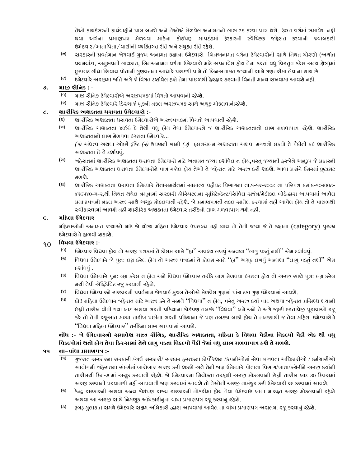તેઓ કાયદેસરની કાર્યવાઠીને પાત્ર બનશે અને તેઓએ મેળવેલ અનામતનો લાભ રદ કરવા પાત્ર થશે. ઉન્નત વર્ગમાં સમાવેશ નઠી થવા અંગેના પ્રમાણપત્ર મેળવવા માટેના કોઈપણ માપદંડમાં ફેરફારની સ્વૈરિછક જાહેરાત કરવાની જવાબદારી ઉમેદવાર/માતાપિતા/વાલીની વ્યકિતગત રીતે અને સંયુક્ત રીતે રહેશે.

- **(૭)** િરકારની પ્રવતામાન જોગવાઈ મુજબ અનામત કક્ષાના ઉમેદવારો તબનઅનામત વગાના ઉમેદવારોની િાથેતનયત ધોરણો (અથાાત વચમર્યાદા, અનુભવની લાચકાત, બિનઅનામત વર્ગના ઉમેદવારો માટે અપનાવેલ હોય તેના કરતાં વધુ વિસ્તૃત કરેલ અન્ય ક્ષેત્ર)મા છૂટછાટ લીધા સિવાય પોતાની ગુણવત્તાના આધારે પસંદગી પામે તો બિનઅનામત જગ્યાની સામે ગણતરીમાં લેવાના થાય છે.
- **(૮)** ઉમેદવારેઅરજીમાાંજાતત અાંગેજેતવગત દશાાવેલ હશેતેમાાં પાછળથી ફેરફાર કરવાની તવનાંતી માન્ય રાખવામાાંઆવશેનહી.

### **૭. માજી સૈણનક : -**

- **(૧)** માજી િૈતનક ઉમેદવારોએ અરજીપત્રકમાાં તવગતો આપવાની રહેશે.
- **(૨)** માજી િૈતનક ઉમેદવારેરડસ્ચાજાબુકની નકલ અરજીપત્રક િાથેઅચૂક મોકલવાનીરહેશ.ે

#### **૮. શારીરરક અશક્તતા ધરાવતા ઉમેદવારો :-**

- **(ક)** શારીરરક અશતતતા ધરાવતા ઉમેદવારોએ અરજીપત્રકમાાં તવગતો આપવાની રહેશ.ે
- **(ખ)** શારીરરક અશતતતા ૪૦% કે તેથી વધુહોય તેવા ઉમેદવારનેજ શારીરરક અશતતતાનો લાભ મળવાપાત્ર રહેશે. શારીરરક અશતતતાનો લાભ મેળવવા ઇચ્છતા ઉમેદવારે...

*(*૧*)* અાંધત્વ અથવા ઓછી દ્રતષ્ટ *(*૨*)* શ્રવણની ખામી *(*૩*)* હલનચલન અશતતતા અથવા મગજનો લકવો તેપૈકીની કઇ શારીરરક અશ્વક્તતા છે તે દર્શાવવું.

- **(ગ)** જાહેરાતમાાં શારીરરક અશતતતા ધરાવતા ઉમેદવારો માટેઅનામત જગ્યા દશાાવેલ ન હોય,પરાંતુજગ્યાની ફરજોનેઅનુરૂપ જેપ્રકારની શારીરિક અશક્તતા ધરાવતા ઉમેદવારોને પાત્ર ગણેલ હોય તેઓ તે જાહેરાત માટે અરજી કરી શકશે. આવા પ્રસંગે ઉમરમાં છટછાટ મળશે.
- **(ઘ)** શારીરરક અશતતતા ધરાવતા ઉમેદવારેતેનાિમથાનમાાં િામાન્ય વહીવટ તવભાગના તા.૧-૧૨-૨૦૦૮ ના પરરપત્ર ક્રમાાંક-૧૦૨૦૦૮- ૪૬૯૫૪૦-ગ-૨,થી નિયત થયેલ નમૂનામાં સરકારી હોસ્પિટલના સુપ્રિટેન્ડેન્ટ/સિવિલ સર્જન/મેડીકલ બોર્ડદ્ધારા આપવામાં આવેલ પ્રમાણપત્રની નકલ અરજી સાથે અચૂક મોકલવાની રહેશે. જે પ્રમાણપત્રની નકલ સામેલ કરવામાં નહીં આવેલ હોય તો તે પાછળથી સ્વીકારવામાાંઆવશેનહીં શારીરરક અશતતતા ઉમેદવાર તરીકેનો લાભ મળવાપાત્ર થશેનહીં.

#### **૯. મરહલા ઉમેદવાર**

મહિલાઓની અનામત જગ્યાઓ માટે જે યોગ્ય મહિલા ઉમેદવાર ઉપલબ્ધ નહીં થાય તો તેની જગ્યા જે તે કક્ષાના (category) પુરુષ ઉમેદવારોનેફાળવી શકાશે.

# **<sup>૧૦</sup>ણવધવા ઉમેદવાર :-**

- **(૧)** ઉમેદવાર તવધવા હોય તો અરજી પત્રકમાાં તેકોલમ િામે"હા" અવશ્ય લખવુાં અન્યથા "લાગુપડતુાં નથી" એમ દશાાવવુાં.
- **(૨)** વિધવા ઉમેદવારે જે પૂન: લગ્ન કરેલ હોય તો અરજી પત્રકમાં તે કોલમ સામે "હા" અચૂક લખવું અન્યથા "લાગુ પડતું નથી" એમ દર્શાવવં.
- **(૩)** વિધવા ઉમેદવારે પુન: લગ્ન કરેલ ન ઠોચ અને વિધવા ઉમેદવાર તરીકે લાભ મેળવવા ઇચ્છતા ઠોચ તો અરજી સાથે પુન: લગ્ન કરેલ નથી તેવી એરફડેતવટ રજૂકરવાની રહેશ.ે
- **(૪)** વિધવા ઉમેદવારને સરકારની પ્રવર્તમાન જેગવાઈ મુજબ તેઓએ મેળવેલ ગુણમાં પાંચ ટકા ગુણ ઉમેરવામાં આવશે.
- **(૫)** કોઇ મરહલા ઉમેદવાર જાહેરાત માટેઅરજી કરેતેિમયે"તવધવા" ન હોય, પરાંતુઅરજી કયાાબાદ અથવા જાહેરાત પ્રતિધ્ધ થયાની છેલ્લી તારીખ વીતી ગયા બાદ અથવા ભરતી પ્રરક્રયાના કોઇપણ તબક્કે"તવધવા" બનેઅનેતેઅાંગેજરૂરી દસ્તાવેજી પૂરાવાઓ રજૂ કરે તો તેની રજૂઆત મળ્યા તારીખ પછીના ભરતી પ્રક્રિયાના જે પણ તબક્કા બાકી હોય તે તબક્કાથી જ તેવા મહિલા ઉમેદવારોને "તવધવા મરહલા ઉમેદવાર" તરીકેના લાભ આપવામાાંઆવશે.

# નોંધ :- જો ઉમેદવારનો સમાવેશ માજી સૈનિક, શારીરિક અશક્તતા, મઠિલા કે વિધવા પૈકીના વિકલ્પો પૈકી એક થી વધુ **ણવકલ્પોમાાંથતો હોય તેવા રકસ્સામાાંતેનેલાગુપડતા ણવકલ્પો પૈકી જમેાાંવધુલાભ મળવાપાત્ર હશેતેમળશે.**

## **૧૧ ના-વાાંધા પ્રમાણપત્ર :-**

- **(૧)** ગુજરાત િરકારના િરકારી /અધાિરકારી/ િરકાર હસ્તકના કોપોરેશન /કાંપનીઓમાાં િેવા બજાવતા અતધકારીઓ / કમાચારીઓ આયોગની જાહેરાતના સંદર્ભમાં બારોબાર અરજી કરી શકશે અને તેની બણ ઉમેદવારે પોતાના વિભાગ/ખાતા/કચેરીને અરજી કર્યાની તારીખથી દિન-૭ માં અચૂક કરવાની રહેશે. જે ઉમેદવારના નિયોક્તા તરફથી અરજી મોકલવાની છેલ્લી તારીખ બાદ ૩૦ દિવસમાં અરજી કરવાની પરવાનગી નહીં આપવાની જાણ કરવામાાંઆવશેતો તેઓની અરજી નામાંજુર કરી ઉમેદવારી રદ કરવામાાંઆવશે.
- **(૨)** કેન્દ્ર િરકારની અથવા અન્ય કોઇપણ રાજ્ય િરકારની નોકરીમાાં હોય તેવા ઉમેદવારેખાતા મારફત અરજી મોકલવાની રહેશે અથવા આ અરજી સાથે નિમણૂક અધિકારીનુંના વાંધા પ્રમાણપત્ર રજૂ કરવાનું રહેશે.
- **(૩)** રૂબરૂ મુલાકાત િમયેઉમેદવારેિક્ષમ અતધકારી દ્વારા આપવામાાંઆવેલ ના વાાંધા પ્રમાણપત્ર અિલમાાં રજૂકરવાનુાં રહેશે.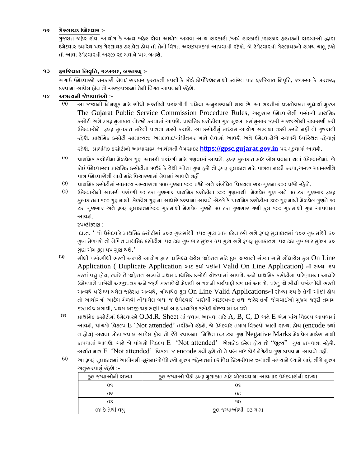#### **૧૨ ગેરલાયક ઉમેદવાર :-**

ગુજરાત જાહેર સેવા આયોગ કે અન્ય જાહેર સેવા આયોગ અથવા અન્ય સરકારી /અર્ધ સરકારી /સરકાર હસ્તકની સંસ્થાઓ દ્વારા ઉમેદવાર ક્યારેય પણ ગેરલાયક ઠરાવેલ ઠોય તો તેની વિગત અરજીપત્રકમાં આપવાની રઠેશે. જે ઉમેદવારનો ગેરલાયકનો સમય ચાલુ ઠશે તો આવા ઉમેદવારની અરજી રદ થવાનેપાત્ર બનશે.

#### **૧૩ ફરણજયાત ણનવૃણિ, રુખસદ, બરતરફ :-**

અગાઉ ઉમેદવારને સરકારી સેવા/ સરકાર હસ્તકની કંપની કે બોર્ડ કોર્પોરેશનમાંથી ક્યારેય પણ ફરજિયાત નિવૃત્તિ, રુખસદ કે બરતરફ કરવામાં આવેલ હોય તો અરજીપત્રકમાં તેની વિગત આપવાની રહેશે.

#### **૧૪ અગત્યની જોગવાઇઓ** :-

**(૧)** આ જગ્યાની તનમણૂક માટેિીધી ભરતીથી પિાંદગીની પ્રરક્રયા અનુિરવાની થાય છે. આ ભરતીમાાં વખતોવખત િુધાયાા મુજબ The Gujarat Public Service Commission Procedure Rules, અનુસાર ઉમેદવારોની પસંદગી પ્રાથમિક કસોટી અને રૂબરૂ મુલાકાત યોજીને કરવામાં આવશે. પ્રાથમિક ક્સોટીના ગુણ મુજબ ક્રમાંનુસાર જરૂરી અરજીઓની ચકાસણી કરી ઉમેદવારોને રૂબરૂ મુલાકાત માટેની પાત્રતા નક્કી કરાશે. આ કર્સોટીનું માધ્યમ આયોગ અન્યથા નક્કી કરશે નહીં તો ગુજરાતી રહેશે. પ્રાથમિક કર્સોટી સામાન્યત: અમદાવાદ/ગાંધીનગર ખાતે લેવામાં આવશે અને ઉમેદવારોએ રુવખર્ચે ઉપરિથત રહેવાનું

રહેશે. પ્રાથતમક કિોટીનો અભ્યાિક્રમ આયોગની વેબિાઇટ **https://[gpsc.gujarat.gov.in](https://gpsc.gujarat.gov.in/)** પર મૂકવામાાંઆવશે.

- **(૨)** પ્રાથતમક કિોટીમા મેળવેલ ગુણ આખરી પિાંદગી માટેગણવામાાં આવશે. રૂબરૂ મુલાકાત માટેબોલાવવાના થતાાં ઉમેદવારોમાાં, જો કોઈ ઉમેદવારના પ્રાથમિક કસોટીમા ૧૦% કે તેથી ઓછા ગુણ હશે તો રૂબરૂ મુલાકાત માટે પાત્રતા નક્કી કરવા,અરજી ચકાસણીને પાત્ર ઉમેદવારોની ચાદી માટે વિચારણામાં લેવામાં આવશે નહીં
- **(૩)** પ્રાથતમક કિોટીમાાં િામાન્ય અભ્યાિના ૧૦૦ ગુણના ૧૦૦ પ્રશ્નો અનેિાંબાંતધત તવષયના ૨૦૦ ગુણના ૨૦૦ પ્રશ્નો રહેશે.
- **(૪)** ઉમેદવારોની આખરી પિાંદગી ૫૦ ટકા ગુણભાર પ્રાથતમક કિોટીના ૩૦૦ ગુણમાથી મેળવેલ ગુણ અને૫૦ ટકા ગુણભાર રૂબરૂ મુલાકાતના ૧૦૦ ગુણમાંથી મેળવેલ ગુણના આધારે કરવામાં આવશે એટલે કે પ્રાથમિક કચોટીમા ૩૦૦ ગુણમાંથી મેળવેલ ગુણને ૫૦ ટકા ગુણભાર અને રૂબરૂ મુલાકાતમાં૧૦૦ ગુણમાંથી મેળવેલ ગુણને ૫૦ ટકા ગુણભાર ગણી કૂલ ૧૦૦ ગુણમાંથી ગુણ આપવામા આવશે.

સ્પષ્ટીકરણ :

દા.ત. ' જો ઉમેદવારે પ્રાથમિક કસોટીમાં ૩૦૦ ગુણમાંથી ૧૫૦ ગુણ પ્રાપ્ત કરેલ હશે અને રૂબરૂ મુલાકાતમાં ૧૦૦ ગુણમાંથી ૬૦ ગુણ મેળવશે તો લેખિત પ્રાથમિક કસોટીના ૫૦ ટકા ગુણભાર મુજબ ૨૫ ગુણ અને રૂબરૂ મુલાકાતના ૫૦ ટકા ગુણભાર મુજબ ૩૦ ગુણ એમ કૂલ ૫૫ ગુણ થશે.'

- **(૫)** સીિી પસાંદર્ીથી ભરતી અન્વયેઆયોર્ દ્વારા પ્રજસધ્િ થયેલ જાહેરાત માટેકૂલ િગ્યાની સાંખ્યા સામેનોંિાયેલ કૂલ On Line Application ( Duplicate Application બાદ કર્યા પછીની Valid On Line Application) ની સંખ્યા ૨૫ કરતાં વધુ હોય, ત્યારે તે જાહેરાત અન્વયે પ્રથમ પ્રાથમિક કસોટી યોજવામાં આવશે. અને પ્રાથમિક કસોટીના પરિણામના આધારે ઉમેદવારો પાસેથી અરજીપત્રક અનેિરૂરી દસતાવેજો મેળવી આર્ળની કાયગવાહી કરવામાાંઆવશે. પરાંત જો સીિી પસાંદર્ીથી ભરતી અન્વયે પ્રસિધ્ધ થયેલ જાહેરાત અન્વયે, નોંધાયેલ કૂલ On Line Valid Applicationsની સંખ્યા ૨૫ કે તેથી ઓછી હોય તો આયોગનો આદેશ મેળવી નોંધાયેલ બધા જ ઉમેદવારો પાસેથી અરજીપત્રક તથા જાહેરાતની જોગવાઈઓ મુજબ જરૂરી તમામ દસ્તાવેજ મંગાવી, પ્રથમ અરજી ચકાસણી કર્યા બાદ પ્રાથમિક કસોટી યોજવામાં આવશે.
- **(૬)** પ્રાથતમક કિોટીમાાં ઉમેદવારનેO.M.R. Sheet માાં જવાબ આપવા માટેA, B, C, D અનેE એમ પાાંચ તવકલ્પ આપવામાાં આવશે, પાંચમો વિકલ્પ E 'Not attended' તરીકેનો રહેશે. જે ઉમેદવારે તમામ વિકલ્પો ખાલી રાખ્યા હોય (encode કર્યા ન હોય) અથવા ખોટા જવાબ આપેલ હોય તો જેતે જવાબના નિશ્રિત ૦.૩ ટકા ગુણ Negative Marks મેળવેલ માર્કસ માથી કાપવામાં આવશે. અને બે પાંચમો વિકલ્પ E 'Not attended' એનકોડ કરેલ હોય તો "શૂન્ય" ગુણ કાપવાના રહેશે. અર્થાત માત્ર E 'Not attended' વિકલ્પ જ encode કર્યો હશે તો તે પ્રશ્ન માટે કોઇ નેગેટીવ ગુણ કાપવામાં આવશે નહીં.
- **(૭)** આ રૂબરૂ મુલાકાતમાાંઆયોગની િૂચનાઓ/ધોરણો મુજબ જાહેરાતમાાંદશાાવેલ કેટેગરીવાર જગ્યાની િાંખ્યાનેધ્યાનેલઈ, નીચેમુજબ અનસરવાનું રહેશે :-

| કૂલ જ્યાઓની સંખ્યા | કૂલ જ્યાઓ પૈકી રૂબરૂ મુલાકાત માટે બોલાવવામાં આવતાર ઉમેદવારોની સંખ્યા |
|--------------------|----------------------------------------------------------------------|
| 09                 | 09                                                                   |
| ೧⊋                 | 06                                                                   |
| 03                 | 90                                                                   |
| ૦૪ કે તેથી વધુ     | કૂલ જ્ચાઓથી ૦૩ ગણા                                                   |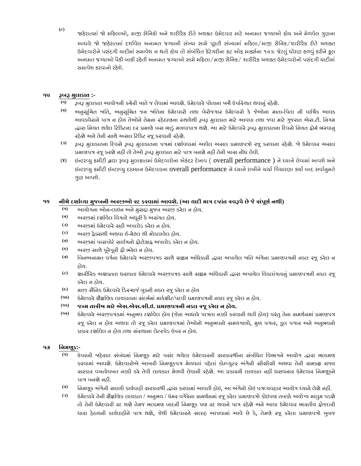**(૮)** જાહેરાતમાં જો મહિલાઓ, માજી સૈનિકો અને શારીરિક રીતે અશક્ત ઉમેદવાર માટે અનામત જગ્યાઓ હોય અને મેળવેલ ગુણના આદ્યારે જો જાહેરાતમાં દર્શાવેલ અનામત જગ્યાની સંખ્યા સામે પૂરતી સંખ્યામાં મહિલા/માજી સૈનિક/શારીરિક રીતે અશક્ત ઉમેદવારોને પસંદગી યાદીમાં સમાવેશ ન થતો હોય તો સંબંધિત કેટેગરીના કટ ઓફ માર્ક્સના ૧૦% જેટલું ધોરણ હળવું કરીને કૂલ અનામત જગ્યાઓ પૈકી બાકી રહેતી અનામત જગ્યાઓ સામે મહિલા/માજી સૈનિક/ શારીરિક અશક્ત ઉમેદવારોનો પસંદગી યાદીમાં સમાવેશ કરવાનો રહેશે.

#### **૧૫ રૂબરૂ મુલાકાત :-**

- **(૧)** રૂબરૂ મુલાકાત આયોગની કચેરી ખાતેજ લેવામાાંઆવશે. ઉમેદવારેપોતાના ખચેઉપતસ્થત થવાનુાં રહેશે.
- **(૨)** અનુિૂતચત જાતત, અનુિૂતચત જન જાતતના ઉમેદવારો તથા બેરોજગાર ઉમેદવારો કે જઓે ના માતા-તપતા ની વાતષાક આવક આવકવેરાને પાત્ર ન હોય તેઓને તેમના રહેઠાણના રચળેથી રૂબરૂ મુલાકાત માટે આવવા તથા જવા માટે ગુજરાત એસ.ટી. નિગમ ત્દ્વારા નિયત થયેલ ટિકિટના દર પ્રમાણે બસ ભાડું મળવાપાત્ર થશે. આ માટે ઉમેદવારે રૂબરૂ મુલાકાતના દિવસે નિયત ફોર્મ ભરવાનુ રહેશે અને તેની સાથે અસલ ટિકિટ રજૂ કરવાની રહેશે.
- **(૩)** રૂબરૂ મુલાકાતના રદવિેરૂબરૂ મુલાકાતના પત્રમાાં દશાાવવામાાં આવેલ અિલ પ્રમાણપત્રો રજૂકરવાના રહેશે. જો ઉમેદવાર અિલ પ્રમાણપત્ર રજૂ કરશે નહીં તો તેઓ રૂબરૂ મુલાકાત માટે પાત્ર બનશે નહીં તેની ખાસ નોંધ લેવી.
- (૪) ઇન્ટરવ્યુ કમીટી દ્વારા રૂબરૂ મુલાકાતમાં ઉમેદવારોના એકંદર દેખાવ ( overall performance ) ને ધ્યાને લેવામાં આવશે અને ઇન્ટરવ્યુ કમીટી ઇન્ટરવ્યુ દરમ્યાન ઉમેદવારના overall performance ને ધ્યાને રાખીને ચર્ચા વિચારણા કર્યા બાદ સર્વાનુમતે ગુણ આપશે.

#### **૧૬ નીચેદશાગવ્યા મુજબની અરજીઓ રદ કરવામાાંઆવશે. (આ યાદી માત્ર દષ્ાાંત સ્વરૂપેછેજેસાંપૂણગનથી)**

- **(૧)** આયોગના ઓન-લાઇન અનેમુિદ્દા મુજબ અરજી કરેલ ન હોય.
- **(૨)** અરજીમાાંદશાાવેલ તવગતો અધૂરી કેઅિાંગત હોય.
- **(૩)** અરજીમાાં ઉમેદવારેિહી અપલોડ કરેલ ન હોય.
- **(૪)** અરજી ફેતિથી અથવા ઈ-મેઇલ થી મોકલાવેલ હોય.
- **(૫)** અરજીમાાં પાિપોટા િાઈઝનો ફોટોિાફ અપલોડ કરેલ ન હોય.
- **(૬)** અરજી િાથેપૂરેપૂરી ફી ભરેલ ન હોય.
- **(૭)** બિનઅનામત વર્ગના ઉમેદવારે અરજીપત્રક સાથે સક્ષમ અધિકારી દ્વારા અપાયેલ જાતિ અંગેના પ્રમાણપત્રની નકલ રજૂ કરેલ ન હોય.
- **(૮)** શારીરરક અશતતતા ધરાવતા ઉમેદવારેઅરજીપત્રક િાથેિક્ષમ અતધકારી દ્વારા અપાયેલ તવકલાાંગતાનુાં પ્રમાણપત્રની નકલ રજૂ કરેલ ન હોય.
- **(૯)** માજી િૈતનક ઉમેદવારેરડસ્ચાજાબુકની નકલ રજૂકરેલ ન હોય
- **(૧૦)** ઉમેદવારેશૈક્ષતણક લાયકાતના િાંદભામાાં માકાશીટ/પદવી પ્રમાણપત્રની નકલ રજૂકરેલ ન હોય.
- **(૧૧) જન્મ તારીખ માટેએસ.એસ.સી.ઇ. પ્રમાણપત્રની નકલ રજૂકરેલ ન હોય.**
- **(૧૨)** ઉમેદવારેઅરજીપત્રકમાાં અનુભવ દશાાવેલ હોય (જનેા આધારેપાત્રતા નક્કી કરવાની થતી હોય) પરાંતુતેના િમથાનમાાં પ્રમાણપત્ર રજૂ કરેલ ન હોય અથવા તો રજૂ કરેલ પ્રમાણપત્રમાં તેઓનો અનુભવનો અમયગાળો, મુળ પગાર, કૂલ પગાર અને અનુભવનો પ્રકાર દર્શાવેલ ન ઠોય તથા સંસ્થાના લેટરપેડ ઉપર ન ઠોય.

#### **૧૭ ણનમણૂક:**-

- **(૧)** ઉપરની જાહેરાત િાંબાંધમાાં તનમણૂક માટે પિાંદ થયેલા ઉમેદવારની િરકારશ્રીના િાંબાંતધત તવભાગનેઆયોગ દ્વારા ભલામણ કરવામાં આવશે. ઉમેદવારોએ આખરી તિમણૂકપત્ર મેળવતાં પહેલાં કોમ્પ્યુટર અંગેની સીસીસી અથવા તેની સમકક્ષ રાજ્ય ચરકાર વખતોવખત નક્કી કરે તેવી લાયકાત મેળવી લેવાની રહેશે. આ પ્રકારની લાયકાત નહીં ધરાવનાર ઉમેદવાર નિમણૂકને પાત્ર બનશે નહીં.
- **(૨)** ત્નિમણૂક અંગેની સઘળી કાર્યવાઠી સરકારશ્રી દ્વારા કરવામાં આવતી હોઇ, આ અંગેનો કોઇ પત્રવ્યવહાર આયોગ ધ્યાને લેશે નહીં.
- **(૩)** ઉમેદવારેતેની શૈક્ષતણક લાયકાત / અનુભવ / ઉંમર વગેરેના િમથાનમાાં રજૂકરેલ પ્રમાણપત્રો કોઇપણ તબક્કેઅયોગ્ય માલુમ પડશે તો તેની ઉમેદવારી રદ થશે તેમજ ભલામણ બાદની નિમણૂક પણ રદ થવાને પાત્ર રહેશે અને આવા ઉમેદવાર ભારતીય ફોજદારી ધારા હેઠળની કાર્યવાહીને પાત્ર થશે, જેથી ઉમેદવારને અલાહ આપવામાં આવે છે કે, તેમણે રજૂ કરેલા પ્રમાણપત્રો ખુબજ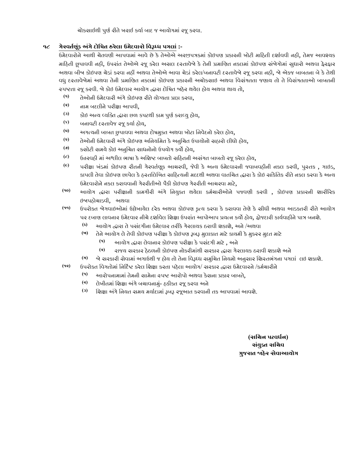ચોકસાઈથી પૂર્ણ રીતે ખરાઈ કર્યા બાદ જ આયોગમાં રજૂ કરવા.

#### **૧૮ ગેરવતગણૂાંક અાંગેદોણિત ઠરેલા ઉમેદવારો ણવરૂધ્ધ પગલાાં:-**

ઉમેદવારોને આથી ચેતવણી આપવામાં આવે છે કે તેઓએ અરજીપત્રકમાં કોઇપણ પ્રકારની ખોટી માહિતી દર્શાવવી નહી, તેમજ આવશ્ચક માઠિતી છૂપાવવી નહી, ઉપરાંત તેઓએ રજૂ કરેલ અસલ દસ્તાવેજો કે તેની પ્રમાણિત નકલમાં કોઇપણ સંજેગોમાં સુધારો અથવા ફેરફાર અથવા બીજા કોઇપણ ચેડાાં કરવા નહીં અથવા તેઓએ આવા ચેડાાં કરેલ/બનાવટી દસ્તાવેજો રજૂકરવા નહી, જો એકજ બાબતના બેકેતેથી વધુ દસ્તાવેજોમાં અથવા તેની પ્રમાણિત નકલમાં કોઇપણ પ્રકારની અચોક્સાઇ અથવા વિચંગતતા જણાય તો તે વિસંગતતાઓ બાબતની સ્પષ્ટતા રજૂકરવી. જો કોઇ ઉમેદવાર આયોગ દ્વારા દોતષત જાહેર થયેલ હોય અથવા થાય તો,

- **(૧)** તેઓની ઉમેદવારી અાંગેકોઇપણ રીતેયોગ્યતા પ્રાપ્ત કરવા,
- **(૨)** નામ બદલીનેપરીક્ષા આપવી,
- **(૩)** કોઇ અન્ય વ્યતતત દ્વારા છળ કપટથી કામ પુણાકરાવ્યુહોય,
- **(૪)** બનાવટી દસ્તાવેજ રજૂકયાાહોય,
- **(૫)** અગત્યની બાબત છુપાવવા અથવા દોષમુકત અથવા ખોટા તનવેદનો કરેલ હોય,
- **(૬)** તેઓની ઉમેદવારી અાંગેકોઇપણ અતનયતમત કેઅનુતચત ઉપાયોનો િહારો લીધો હોય,
- **(૭)** કિોટી િમયેકોઇ અનુતચત િાધનોનો ઉપયોગ કયો હોય,
- **(૮)** ઉત્તરવહી માાં અશ્લીલ ભાષા કેઅતશષ્ટ બાબતો િરહતની અિાંગત બાબતો રજૂકરેલ હોય,
- **(૯)** પરીક્ષા ખાંડમાાં કોઇપણ રીતની ગેરવતાણૂક આચરવી, જવેી કેઅન્ય ઉમેદવારની જવાબવહીની નકલ કરવી, પુસ્તક , ગાઇડ, કાપલી તેવા કોઇપણ છાપેલ કે હસ્તલિખિત સાહિત્યની મદદથી અથવા વાતચિત દ્વારા કે કોઇ સાંકેતિક રીતે નકલ કરવા કે અન્ય ઉમેદવારોનેનકલ કરાવવાની ગેરરીતીઓ પૈકી કોઇપણ ગેરરીતી આચરવા માટે,
- **(૧૦)** આયોગ દ્વારા પરીક્ષાની કામગીરી અાંગે તનયુકત થયેલા કમાચારીઓને પજવણી કરવી , કોઇપણ પ્રકારની શારીરરક ઇજાપહોચાડવી, અથવા
- **(૧૧)** ઉપરોકત જોગવાઇઓમાાં ઉલ્લેખાયેલ દરેક અથવા કોઇપણ કૃત્ય કરવા કેકરાવવા તેણેકેિીધી અથવા આડકતરી રીતેઆયોગ પર દબાણ લાવનાર ઉમેદવાર નીચેદશાાવેલ તશક્ષા ઉપરાાંત આપોઆપ પ્રયત્ન કયો હોય, ફોજદારી કાયાવાહીનેપાત્ર બનશે.
	- **(ક)** આયોગ દ્વારા તેપિાંદગીના ઉમેદવાર તરીકેગેરલાયક ઠરાવી શકાશે, અને/અથવા
	- **(ખ)** તેનેઆયોગ લેતેવી કોઇપણ પરીક્ષા કેકોઇપણ રૂબરૂ મુલાકાત માટેકાયમી કેમુકરર મુદત માટે
		- **(૧)** આયોગ દ્વારા લેવાનાર કોઇપણ પરીક્ષા કેપિાંદગી માટે, અને
		- **(૨)** રાજય િરકાર હેઠળની કોઇપણ નોકરીમાાંથી િરકાર દ્વારા ગેરલાયક ઠરાવી શકાશેઅને
	- **(ગ)** જો િરકારી િેવામાાં અગાઉથી જ હોય તો તેના તવરૂધ્ધ િમુતચત તનયમો અનુિાર તશસ્તભાંગના પગલાાં લઇ શકાશે.
- **(૧૨)** ઉપરોકત તવગતોમાાં તનરદાષ્ટ કરેલ તશક્ષા કરતા પહેલા આયોગ/ િરકાર દ્વારા ઉમેદવારને/કમાચારીને
	- **(૧)** આરોપનામામાાં તેમની િામેના સ્પષ્ટ આરોપો અથવા કેિના પ્રકાર બાબતે,
	- **(૨)** લેખીતમાાં તશક્ષા અાંગેબચાવનામુાં- હકીકત રજૂકરવા અને
	- **(૩)** શ્ચિક્ષા અંગે નિચત સમય મર્ચાદામાં રૂબરૂ રજૂઆત કરવાની તક આપવામાં આવશે.

### **(સણચન પટવધગન) સાંયુક્ત સણચવ ગુજરાત જાહેર સેવાઆયોગ**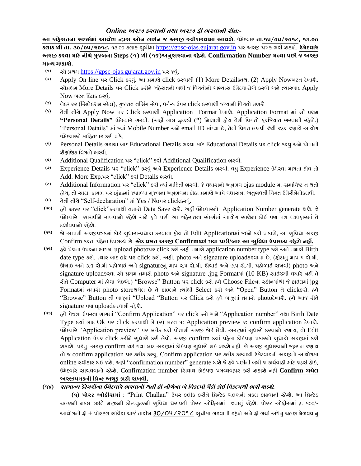## *Online* **અરજી કરવાની તથા અરજી ફી ભરવાની રીત***:-*

**આ જાહેરાતના સાંદભગમાાં આયોગ દ્વારા ઓન લાઈન જ અરજી સ્વીકારવામાાં આવશે.** ઉમેદવાર **તા.૧૫/૦૫/૨૦૧૮, ૧૩.૦૦ કલાક થી તા. ૩૦/૦૫/૨૦૧૮,** ૧૩.૦૦ કલાક િુધીમાાં [https://gpsc-ojas.gujarat.gov.in](https://gpsc-ojas.gujarat.gov.in/) પર અરજી પત્રક ભરી શકશે. **ઉમેદવારે અરજી કરવા માટેનીચેમજુબના Steps (૧) થી (૧૬)અનુસરવાના રહેશે. Confirmation Number મળ્યા પછી જ અરજી માન્ય ગણાશે.**

- **(૧)** િૌ પ્રથમ [https://gpsc-ojas.gujarat.gov.in](https://gpsc-ojas.gujarat.gov.in/) પર જવુાં.
- **(૨)** Apply On line પર Click કરવુાં. આ પ્રમાણેclick કરવાથી (1) More Detailsતથા (2) Apply Nowબટન દેખાશે. સૌપ્રથમ More Details પર Click કરીને જાઠેરાતની બધી જ વિગતોનો અભ્યાસ ઉમેદવારોએ કરવો અને ત્યારબાદ Apply Now બટન ક્લિક કરવું.
- **(૩)** લેકચરર (તિલેતશન સ્કેલ), ગુજરાત નતિિંગ િેવા, વગા-૧ ઉપર click કરવાથી જગ્યાની તવગતો મળશે
- **(૪)** તેની નીચેApply Now પર Click કરવાથી Application Format દેખાશે. Application Format માાં િૌ પ્રથમ **"Personal Details"** ઉમેદવારેભરવી. (અહીં લાલ ફુદરડી (\*) તનશાની હોય તેની તવગતો ફરતજયાત ભરવાની રહેશે.) "Personal Details" માં જ્યાં Mobile Number અને email ID માંગ્યા છે, તેની વિગત લખવી જેથી જરૂર જણાયે આયોગ ઉમેદવારને માઠિતગાર કરી શકે.
- **(૫)** Personal Details ભરાયા બાદ Educational Details ભરવા માટેEducational Details પર click કરવુાં અનેપોતાની શૈક્ષતણક તવગતો ભરવી.
- **(૬)** Additional Qualification પર "click" કરી Additional Qualification ભરવી.
- **(૭)** Experience Details પર "click" કરવુાં અનેExperience Details ભરવી. વધુExperience ઉમેરવા માગતા હોવ તો Add. More Exp.પર "click" કરી Details ભરવી.
- **(૮)** Additional Information પર "click" કરી ત્યાાં મારહતી ભરવી. જેવધારાનો અનુભવ ojas module માાં િમાતવષ્ટ ન થતો હોય, તો િાદા કાગળ પર ojasમાાં જણાવ્યા મુજબના અનુભવના કોઠા પ્રમાણેઆપેવધારાના અનુભવની તવગત ઉમેરીનેમોકલવી.
- **(૯)** તેની નીચે"Self-declaration" માાંYes / Noપર clickકરવુાં.
- **(૧૦)** હવેsave પર "click"કરવાથી તમારો Data Save થશે. અહીં ઉમેદવારનો Application Number generate થશે. જે ઉમેદવારે સાચવીને રાખવાનો રહેશે અને હવે પછી આ જાહેરાતના સંદર્ભમાં આયોગ સાથેના કોઈ પણ પત્ર વ્યવહારમાં તે દર્શાવવાનો રહેશે.
- **(૧૧)** જો આપની અરજીપત્રકમાાં કોઇ િુધારા-વધારા કરવાના હોય તો Edit Applicationમાાં જઇનેકરી શકાશે, આ િુતવધા અરજી Confirm કરતાાં પહેલા ઉપલબ્ધ છે. **એક વખત અરજી Confirmથઇ ગયા પછી/બાદ આ સુણવધા ઉપલબ્ધ રહેશેનહીં.**
- **(૧૨)** હવેપેજના ઉપરના ભાગમાાં upload photoપર click કરો અહીં તમારો application number type કરો અનેતમારી Birth date type કરો. ત્યાર બાદ ok પર click કરો. અહીં, photo અને signature uploadકરવાના છે. (ફોટાનું માપ ૫ સે.મી. ઊંચાઇ અને ૩.૬ સે.મી પહોળાઈ અને signatureનું માપ ૨.૫ સે.મી. ઊંચાઇ અને ૭.૫ સે.મી. પહોળાઈ રાખવી) photo અને signature uploads રવા સૌ પ્રથમ તમારો photo અને signature .jpg Formatમાં (10 KB) સાઇઝથી વધારે નહીં તે રીતેComputer માાં હોવા જોઇએ.) "Browse" Button પર click કરો હવેChoose Fileના સ્ક્રીનમાાંથી જેફાઇલમાાં jpg Formatમાાં તમારો photo storeથયેલ છે તેફાઇલનેત્યાાંથી Select કરો અને"Open" Button નેclickકરો. હવે "Browse" Button ની બાજુમાં "Upload "Button પર Click કરો હવે બાજુમાં તમારો photoદેખાશે. હવે આજ રીતે signature પણ uploadકરવાની રહેશે.
- **(૧૩)** હવેપેજના ઉપરના ભાગમાાં "Confirm Application" પર click કરો અને"Application number" તથા Birth Date Type કર્યા બાદ Ok પર click કરવાથી બે (૨) બટન ૧: Application preview ૨: confirm application દેખાશે. ઉમેદવારે "Application preview" પર ક્લીક કરી પોતાની અરજી જોઈ લેવી. અરજીમાં સુધારો કરવાનો જણાય, તો Edit Application ઉપર click કરીને સુધારો કરી લેવો. અરજી confirm કર્યા પહેલા કોઇપણ પ્રકારનો સુધારો અરજીમાં કરી શકાશે. પરંતુ. અરજી confirm થઇ ગયા બાદ અરજીમાં કોઇપણ સુધારો થઇ શકશે નહીં. જે અરજી સુધારવાની જરૂર ન જણાય તો જ confirm application પર તલીક કરવુાં. Confirm application પર તલીક કરવાથી ઉમેદવારની અરજીનો આયોગમાાં online સ્વીકાર થઈ જશે. અહીં "confirmation number" generate થશેજેહવેપછીની બધી જ કાયાવાહી માટેજરૂરી હોઈ, ઉમેદવારેિાચવવાનો રહેશે. Confirmation number તિવાય કોઇપણ પત્રવ્યવહાર કરી શકાશેનહીં **Confirm થયેલ અરજીપત્રકની ણપ્રન્ટ અચૂક કાઢી રાખવી.**

## **(૧૪) સામાન્ય કેટેગરીના ઉમેદવારેભરવાની થતી ફી નીચેના બેણવકલ્પો પૈકી કોઈ ણવકલ્પથી ભરી શક્શે***.*

 **(૧) પોસ્ટ ઓફીસમાાં** : "Print Challan" ઉપર કલીક કરીનેતપ્રન્ટેડ ચલણની નકલ કાઢવાની રહેશ. ે આ તપ્રન્ટેડ ચલણની નકલ લઇને નજીકની કોમ્પ્યુટરની સુવિધા ધરાવતી પોસ્ટ ઓફિસમાં જવાનું રહેશે. પોસ્ટ ઓફીસમાં રૂ. ૧૦૦/-આયોગની ફી + પૉસ્ટલ સર્વિસ ચાર્જ તારીખ 30/0૫/૨0૧૮ સુધીમાં ભરવાની રહેશે અને ફી ભર્યા અંગેનું ચલણ મેળવવાનું